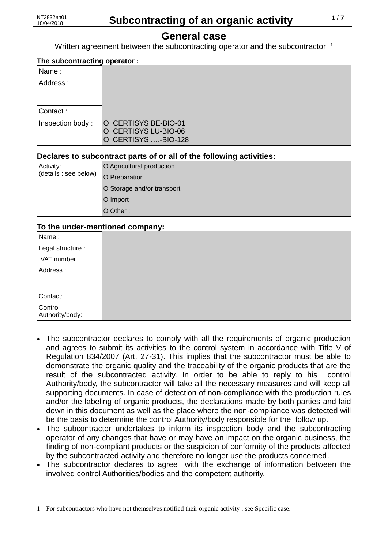1

# **General case**

Written agreement between the subcontracting operator and the subcontractor <sup>1</sup>

# **The subcontracting operator :** Name : Address : Contact : Inspection body : | O CERTISYS BE-BIO-01 O CERTISYS LU-BIO-06 O CERTISYS ….-BIO-128

### **Declares to subcontract parts of or all of the following activities:**

| Activity:<br>(details : see below) | O Agricultural production  |
|------------------------------------|----------------------------|
|                                    | O Preparation              |
|                                    | O Storage and/or transport |
|                                    | O Import                   |
|                                    | O Other:                   |

### **To the under-mentioned company:**

| Name:                      |  |
|----------------------------|--|
| Legal structure :          |  |
| VAT number                 |  |
| Address:                   |  |
| Contact:                   |  |
| Control<br>Authority/body: |  |

- The subcontractor declares to comply with all the requirements of organic production and agrees to submit its activities to the control system in accordance with Title V of Regulation 834/2007 (Art. 27-31). This implies that the subcontractor must be able to demonstrate the organic quality and the traceability of the organic products that are the result of the subcontracted activity. In order to be able to reply to his control Authority/body, the subcontractor will take all the necessary measures and will keep all supporting documents. In case of detection of non-compliance with the production rules and/or the labeling of organic products, the declarations made by both parties and laid down in this document as well as the place where the non-compliance was detected will be the basis to determine the control Authority/body responsible for the follow up.
- The subcontractor undertakes to inform its inspection body and the subcontracting operator of any changes that have or may have an impact on the organic business, the finding of non-compliant products or the suspicion of conformity of the products affected by the subcontracted activity and therefore no longer use the products concerned.
- The subcontractor declares to agree with the exchange of information between the involved control Authorities/bodies and the competent authority.

<sup>1</sup> For subcontractors who have not themselves notified their organic activity : see Specific case.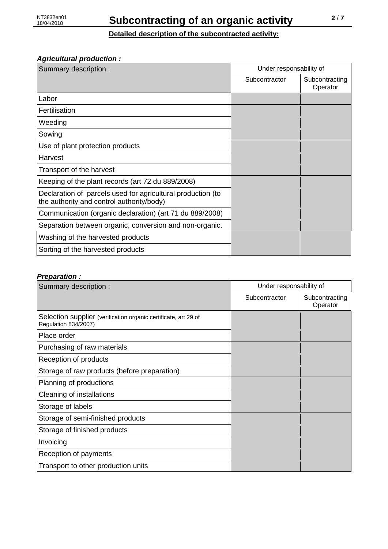# **Detailed description of the subcontracted activity:**

### *Agricultural production :*

| Summary description:                                                                                     | Under responsability of |                            |
|----------------------------------------------------------------------------------------------------------|-------------------------|----------------------------|
|                                                                                                          | Subcontractor           | Subcontracting<br>Operator |
| Labor                                                                                                    |                         |                            |
| Fertilisation                                                                                            |                         |                            |
| Weeding                                                                                                  |                         |                            |
| Sowing                                                                                                   |                         |                            |
| Use of plant protection products                                                                         |                         |                            |
| Harvest                                                                                                  |                         |                            |
| Transport of the harvest                                                                                 |                         |                            |
| Keeping of the plant records (art 72 du 889/2008)                                                        |                         |                            |
| Declaration of parcels used for agricultural production (to<br>the authority and control authority/body) |                         |                            |
| Communication (organic declaration) (art 71 du 889/2008)                                                 |                         |                            |
| Separation between organic, conversion and non-organic.                                                  |                         |                            |
| Washing of the harvested products                                                                        |                         |                            |
| Sorting of the harvested products                                                                        |                         |                            |

### *Preparation :*

| Summary description :                                                                   | Under responsability of |                            |
|-----------------------------------------------------------------------------------------|-------------------------|----------------------------|
|                                                                                         | Subcontractor           | Subcontracting<br>Operator |
| Selection supplier (verification organic certificate, art 29 of<br>Regulation 834/2007) |                         |                            |
| Place order                                                                             |                         |                            |
| Purchasing of raw materials                                                             |                         |                            |
| Reception of products                                                                   |                         |                            |
| Storage of raw products (before preparation)                                            |                         |                            |
| Planning of productions                                                                 |                         |                            |
| Cleaning of installations                                                               |                         |                            |
| Storage of labels                                                                       |                         |                            |
| Storage of semi-finished products                                                       |                         |                            |
| Storage of finished products                                                            |                         |                            |
| Invoicing                                                                               |                         |                            |
| Reception of payments                                                                   |                         |                            |
| Transport to other production units                                                     |                         |                            |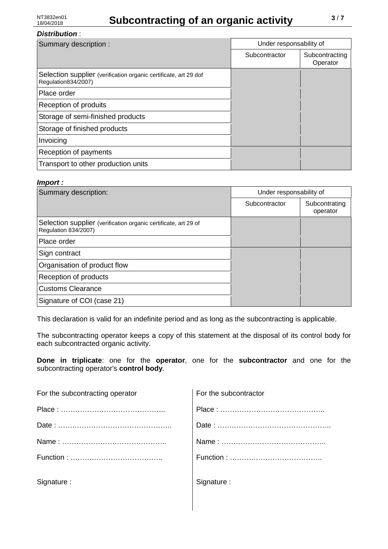## *Distribution* :

| Summary description:                                                                    | Under responsability of |                            |
|-----------------------------------------------------------------------------------------|-------------------------|----------------------------|
|                                                                                         | Subcontractor           | Subcontracting<br>Operator |
| Selection supplier (verification organic certificate, art 29 dof<br>Regulation834/2007) |                         |                            |
| Place order                                                                             |                         |                            |
| Reception of produits                                                                   |                         |                            |
| Storage of semi-finished products                                                       |                         |                            |
| Storage of finished products                                                            |                         |                            |
| Invoicing                                                                               |                         |                            |
| Reception of payments                                                                   |                         |                            |
| Transport to other production units                                                     |                         |                            |

#### *Import :*

| Summary description:                                                                    | Under responsability of |                           |
|-----------------------------------------------------------------------------------------|-------------------------|---------------------------|
|                                                                                         | Subcontractor           | Subcontrating<br>operator |
| Selection supplier (verification organic certificate, art 29 of<br>Regulation 834/2007) |                         |                           |
| Place order                                                                             |                         |                           |
| Sign contract                                                                           |                         |                           |
| Organisation of product flow                                                            |                         |                           |
| Reception of products                                                                   |                         |                           |
| <b>Customs Clearance</b>                                                                |                         |                           |
| Signature of COI (case 21)                                                              |                         |                           |

This declaration is valid for an indefinite period and as long as the subcontracting is applicable.

The subcontracting operator keeps a copy of this statement at the disposal of its control body for each subcontracted organic activity.

**Done in triplicate**: one for the **operator**, one for the **subcontractor** and one for the subcontracting operator's **control body**.

| For the subcontracting operator | For the subcontractor |
|---------------------------------|-----------------------|
|                                 |                       |
|                                 |                       |
|                                 |                       |
|                                 |                       |
| Signature :                     | Signature:            |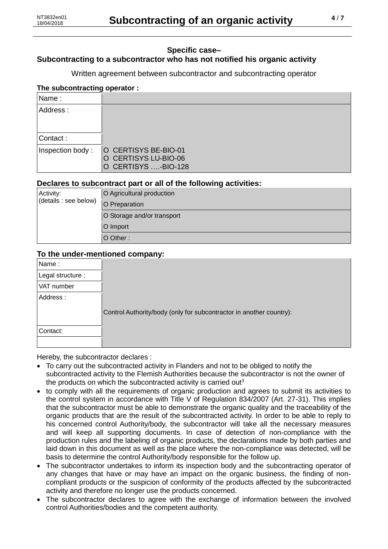#### **Specific case–**

### **Subcontracting to a subcontractor who has not notified his organic activity**

Written agreement between subcontractor and subcontracting operator

#### **The subcontracting operator :**

| Name:            |                                                                     |
|------------------|---------------------------------------------------------------------|
| Address:         |                                                                     |
|                  |                                                                     |
| Contact:         |                                                                     |
| Inspection body: | O CERTISYS BE-BIO-01<br>O CERTISYS LU-BIO-06<br>O CERTISYS -BIO-128 |

### **Declares to subcontract part or all of the following activities:**

| Activity:<br>(details : see below) | O Agricultural production  |
|------------------------------------|----------------------------|
|                                    | O Preparation              |
|                                    | O Storage and/or transport |
|                                    | O Import                   |
|                                    | O Other:                   |

### **To the under-mentioned company:**

| Name:             |                                                                     |
|-------------------|---------------------------------------------------------------------|
| Legal structure : |                                                                     |
| VAT number        |                                                                     |
| Address:          |                                                                     |
|                   | Control Authority/body (only for subcontractor in another country): |
| Contact:          |                                                                     |
|                   |                                                                     |

Hereby, the subcontractor declares :

- To carry out the subcontracted activity in Flanders and not to be obliged to notify the subcontracted activity to the Flemish Authorities because the subcontractor is not the owner of the products on which the subcontracted activity is carried out<sup>3</sup>
- to comply with all the requirements of organic production and agrees to submit its activities to the control system in accordance with Title V of Regulation 834/2007 (Art. 27-31). This implies that the subcontractor must be able to demonstrate the organic quality and the traceability of the organic products that are the result of the subcontracted activity. In order to be able to reply to his concerned control Authority/body, the subcontractor will take all the necessary measures and will keep all supporting documents. In case of detection of non-compliance with the production rules and the labeling of organic products, the declarations made by both parties and laid down in this document as well as the place where the non-compliance was detected, will be basis to determine the control Authority/body responsible for the follow up.
- The subcontractor undertakes to inform its inspection body and the subcontracting operator of any changes that have or may have an impact on the organic business, the finding of noncompliant products or the suspicion of conformity of the products affected by the subcontracted activity and therefore no longer use the products concerned.
- The subcontractor declares to agree with the exchange of information between the involved control Authorities/bodies and the competent authority.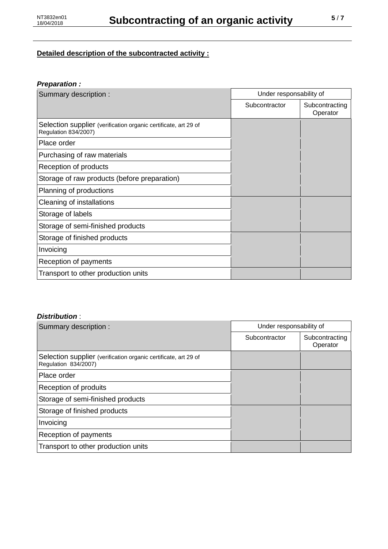# **Detailed description of the subcontracted activity :**

### *Preparation :*

| Summary description:                                                                    | Under responsability of |                            |
|-----------------------------------------------------------------------------------------|-------------------------|----------------------------|
|                                                                                         | Subcontractor           | Subcontracting<br>Operator |
| Selection supplier (verification organic certificate, art 29 of<br>Regulation 834/2007) |                         |                            |
| Place order                                                                             |                         |                            |
| Purchasing of raw materials                                                             |                         |                            |
| Reception of products                                                                   |                         |                            |
| Storage of raw products (before preparation)                                            |                         |                            |
| Planning of productions                                                                 |                         |                            |
| Cleaning of installations                                                               |                         |                            |
| Storage of labels                                                                       |                         |                            |
| Storage of semi-finished products                                                       |                         |                            |
| Storage of finished products                                                            |                         |                            |
| Invoicing                                                                               |                         |                            |
| Reception of payments                                                                   |                         |                            |
| Transport to other production units                                                     |                         |                            |

### *Distribution* :

| Summary description:                                                                    | Under responsability of |                            |
|-----------------------------------------------------------------------------------------|-------------------------|----------------------------|
|                                                                                         | Subcontractor           | Subcontracting<br>Operator |
| Selection supplier (verification organic certificate, art 29 of<br>Regulation 834/2007) |                         |                            |
| Place order                                                                             |                         |                            |
| Reception of produits                                                                   |                         |                            |
| Storage of semi-finished products                                                       |                         |                            |
| Storage of finished products                                                            |                         |                            |
| Invoicing                                                                               |                         |                            |
| Reception of payments                                                                   |                         |                            |
| Transport to other production units                                                     |                         |                            |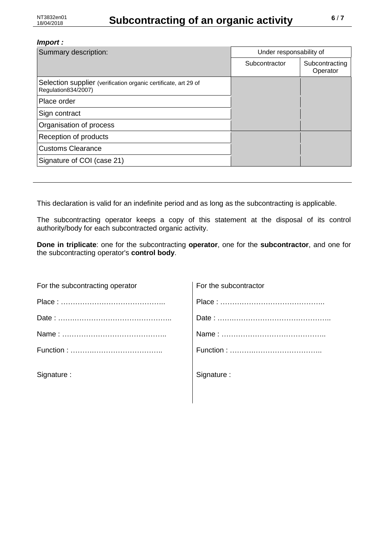### *Import :*

| Summary description:                                                                   | Under responsability of |                            |
|----------------------------------------------------------------------------------------|-------------------------|----------------------------|
|                                                                                        | Subcontractor           | Subcontracting<br>Operator |
| Selection supplier (verification organic certificate, art 29 of<br>Regulation834/2007) |                         |                            |
| Place order                                                                            |                         |                            |
| Sign contract                                                                          |                         |                            |
| Organisation of process                                                                |                         |                            |
| Reception of products                                                                  |                         |                            |
| <b>Customs Clearance</b>                                                               |                         |                            |
| Signature of COI (case 21)                                                             |                         |                            |

This declaration is valid for an indefinite period and as long as the subcontracting is applicable.

The subcontracting operator keeps a copy of this statement at the disposal of its control authority/body for each subcontracted organic activity.

**Done in triplicate**: one for the subcontracting **operator**, one for the **subcontractor**, and one for the subcontracting operator's **control body**.

| For the subcontracting operator | For the subcontractor |
|---------------------------------|-----------------------|
|                                 |                       |
|                                 |                       |
|                                 |                       |
|                                 |                       |
| Signature :                     | Signature:            |